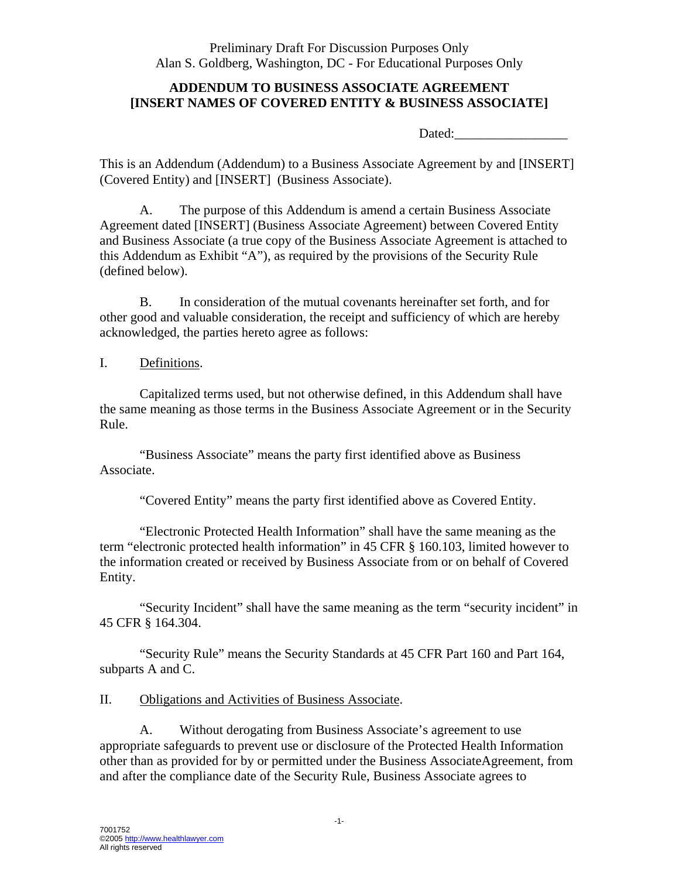Preliminary Draft For Discussion Purposes Only Alan S. Goldberg, Washington, DC - For Educational Purposes Only

# **ADDENDUM TO BUSINESS ASSOCIATE AGREEMENT [INSERT NAMES OF COVERED ENTITY & BUSINESS ASSOCIATE]**

Dated:

This is an Addendum (Addendum) to a Business Associate Agreement by and [INSERT] (Covered Entity) and [INSERT] (Business Associate).

A. The purpose of this Addendum is amend a certain Business Associate Agreement dated [INSERT] (Business Associate Agreement) between Covered Entity and Business Associate (a true copy of the Business Associate Agreement is attached to this Addendum as Exhibit "A"), as required by the provisions of the Security Rule (defined below).

B. In consideration of the mutual covenants hereinafter set forth, and for other good and valuable consideration, the receipt and sufficiency of which are hereby acknowledged, the parties hereto agree as follows:

#### I. Definitions.

Capitalized terms used, but not otherwise defined, in this Addendum shall have the same meaning as those terms in the Business Associate Agreement or in the Security Rule.

"Business Associate" means the party first identified above as Business Associate.

"Covered Entity" means the party first identified above as Covered Entity.

"Electronic Protected Health Information" shall have the same meaning as the term "electronic protected health information" in 45 CFR § 160.103, limited however to the information created or received by Business Associate from or on behalf of Covered Entity.

"Security Incident" shall have the same meaning as the term "security incident" in 45 CFR § 164.304.

"Security Rule" means the Security Standards at 45 CFR Part 160 and Part 164, subparts A and C.

#### II. Obligations and Activities of Business Associate.

A. Without derogating from Business Associate's agreement to use appropriate safeguards to prevent use or disclosure of the Protected Health Information other than as provided for by or permitted under the Business AssociateAgreement, from and after the compliance date of the Security Rule, Business Associate agrees to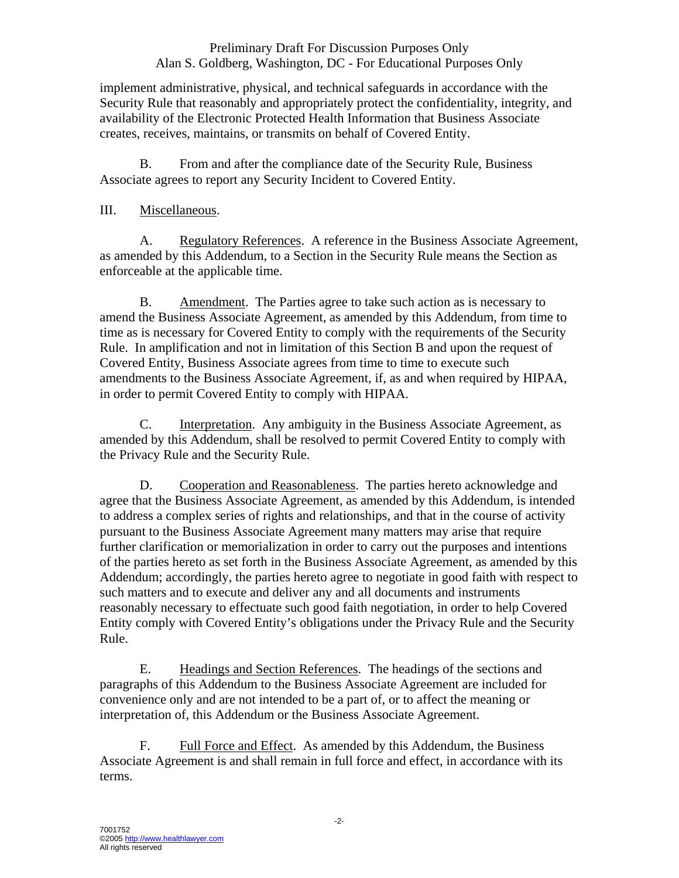# Preliminary Draft For Discussion Purposes Only Alan S. Goldberg, Washington, DC - For Educational Purposes Only

implement administrative, physical, and technical safeguards in accordance with the Security Rule that reasonably and appropriately protect the confidentiality, integrity, and availability of the Electronic Protected Health Information that Business Associate creates, receives, maintains, or transmits on behalf of Covered Entity.

B. From and after the compliance date of the Security Rule, Business Associate agrees to report any Security Incident to Covered Entity.

# III. Miscellaneous.

A. Regulatory References. A reference in the Business Associate Agreement, as amended by this Addendum, to a Section in the Security Rule means the Section as enforceable at the applicable time.

B. Amendment. The Parties agree to take such action as is necessary to amend the Business Associate Agreement, as amended by this Addendum, from time to time as is necessary for Covered Entity to comply with the requirements of the Security Rule. In amplification and not in limitation of this Section B and upon the request of Covered Entity, Business Associate agrees from time to time to execute such amendments to the Business Associate Agreement, if, as and when required by HIPAA, in order to permit Covered Entity to comply with HIPAA.

C. Interpretation. Any ambiguity in the Business Associate Agreement, as amended by this Addendum, shall be resolved to permit Covered Entity to comply with the Privacy Rule and the Security Rule.

D. Cooperation and Reasonableness. The parties hereto acknowledge and agree that the Business Associate Agreement, as amended by this Addendum, is intended to address a complex series of rights and relationships, and that in the course of activity pursuant to the Business Associate Agreement many matters may arise that require further clarification or memorialization in order to carry out the purposes and intentions of the parties hereto as set forth in the Business Associate Agreement, as amended by this Addendum; accordingly, the parties hereto agree to negotiate in good faith with respect to such matters and to execute and deliver any and all documents and instruments reasonably necessary to effectuate such good faith negotiation, in order to help Covered Entity comply with Covered Entity's obligations under the Privacy Rule and the Security Rule.

E. Headings and Section References. The headings of the sections and paragraphs of this Addendum to the Business Associate Agreement are included for convenience only and are not intended to be a part of, or to affect the meaning or interpretation of, this Addendum or the Business Associate Agreement.

F. Full Force and Effect. As amended by this Addendum, the Business Associate Agreement is and shall remain in full force and effect, in accordance with its terms.